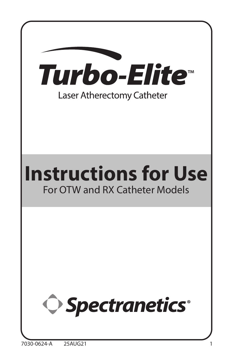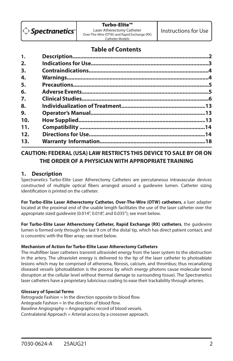| $ \bigcirc$ Spectranetics $\cdot $ |  |
|------------------------------------|--|
|                                    |  |

Laser Atherectomy Catheter Over-The-Wire (OTW) and Rapid Exchange (RX) Catheter Models

## **Table of Contents**

| 1.  |  |
|-----|--|
| 2.  |  |
| 3.  |  |
| 4.  |  |
| 5.  |  |
| 6.  |  |
| 7.  |  |
| 8.  |  |
| 9.  |  |
| 10. |  |
| 11. |  |
| 12. |  |
| 13. |  |
|     |  |

## **CAUTION: FEDERAL (USA) LAW RESTRICTS THIS DEVICE TO SALE BY OR ON THE ORDER OF A PHYSICIAN WITH APPROPRIATE TRAINING**

## **1. Description**

Spectranetics Turbo-Elite Laser Atherectomy Catheters are percutaneous intravascular devices constructed of multiple optical fibers arranged around a guidewire lumen. Catheter sizing identification is printed on the catheter.

**For Turbo-Elite Laser Atherectomy Catheter, Over-The-Wire (OTW) catheters**, a luer adapter located at the proximal end of the usable length facilitates the use of the laser catheter over the appropriate sized guidewire (0.014", 0.018", and 0.035"); see inset below.

**For Turbo-Elite Laser Atherectomy Catheter, Rapid Exchange (RX) catheters**, the guidewire lumen is formed only through the last 9 cm of the distal tip, which has direct patient contact, and is concentric with the fiber array; see inset below.

## **Mechanism of Action for Turbo-Elite Laser Atherectomy Catheters**

The multifiber laser catheters transmit ultraviolet energy from the laser system to the obstruction in the artery. The ultraviolet energy is delivered to the tip of the laser catheter to photoablate lesions which may be comprised of atheroma, fibrosis, calcium, and thrombus; thus recanalizing diseased vessels (photoablation is the process by which energy photons cause molecular bond disruption at the cellular level without thermal damage to surrounding tissue). The Spectranetics laser catheters have a proprietary lubricious coating to ease their trackability through arteries.

#### **Glossary of Special Terms**

Retrograde Fashion = In the direction opposite to blood flow. Antegrade Fashion = In the direction of blood flow. Baseline Angiography = Angiographic record of blood vessels. Contralateral Approach = Arterial access by a crossover approach.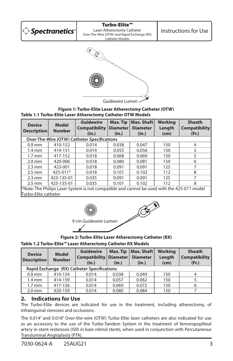

Guidewire Lumen

**Figure 1: Turbo-Elite Laser Atherectomy Catheter (OTW) Table 1.1 Turbo-Elite Laser Atherectomy Catheter OTW Models**

| <b>Device</b><br><b>Description</b>                                                         | <b>Model</b><br><b>Number</b> | <b>Guidewire</b><br>Compatibility<br>(in.)  | Max. Tip<br><b>Diameter</b><br>(in.) | Max. Shaft<br><b>Diameter</b><br>(in.) | <b>Working</b><br>Length<br>(cm) | <b>Sheath</b><br><b>Compatibility</b><br>(Fr.) |
|---------------------------------------------------------------------------------------------|-------------------------------|---------------------------------------------|--------------------------------------|----------------------------------------|----------------------------------|------------------------------------------------|
|                                                                                             |                               | Over-The-Wire (OTW) Catheter Specifications |                                      |                                        |                                  |                                                |
| $0.9$ mm                                                                                    | 410-152                       | 0.014                                       | 0.038                                | 0.047                                  | 150                              | 4                                              |
| $1.4 \text{ mm}$                                                                            | 414-151                       | 0.014                                       | 0.055                                | 0.056                                  | 150                              | 5                                              |
| $1.7 \text{ mm}$                                                                            | 417-152                       | 0.018                                       | 0.068                                | 0.069                                  | 150                              | 5                                              |
| $2.0$ mm                                                                                    | 420-006                       | 0.018                                       | 0.080                                | 0.081                                  | 150                              | 6                                              |
| $2.3 \text{ mm}$                                                                            | 423-001                       | 0.018                                       | 0.091                                | 0.091                                  | 125                              | 7                                              |
| $2.5 \text{ mm}$                                                                            | 425-011*                      | 0.018                                       | 0.101                                | 0.102                                  | 112                              | 8                                              |
| $2.3 \text{ mm}$                                                                            | 423-135-01                    | 0.035                                       | 0.091                                | 0.091                                  | 125                              | 7                                              |
| $2.5 \text{ mm}$                                                                            | 425-135-01                    | 0.035                                       | 0.101                                | 0.102                                  | 112                              | 8                                              |
| *Note: The Philips Laser System is not compatible and cannot be used with the 425-011 model |                               |                                             |                                      |                                        |                                  |                                                |
| <b>Turbo-Elite catheter</b>                                                                 |                               |                                             |                                      |                                        |                                  |                                                |



**Figure 2: Turbo-Elite Laser Atherectomy Catheter (RX) Table 1.2 Turbo-Elite™ Laser Atherectomy Catheter RX Models**

| <b>Device</b><br><b>Description</b>         | <b>Model</b><br><b>Number</b> | <b>Guidewire</b><br>Compatibility<br>(in.) | Max. Tip<br><b>Diameter</b><br>(in.) | Max. Shaft<br><b>Diameter</b><br>(in.) | <b>Working</b><br>Length<br>(cm) | <b>Sheath</b><br><b>Compatibility</b><br>(Fr.) |
|---------------------------------------------|-------------------------------|--------------------------------------------|--------------------------------------|----------------------------------------|----------------------------------|------------------------------------------------|
| Rapid Exchange (RX) Catheter Specifications |                               |                                            |                                      |                                        |                                  |                                                |
| $0.9$ mm                                    | 410-154                       | 0.014                                      | 0.038                                | 0.049                                  | 150                              | 4                                              |
| $1.4 \text{ mm}$                            | 414-159                       | 0.014                                      | 0.057                                | 0.062                                  | 150                              |                                                |
| $1.7 \text{ mm}$                            | 417-156                       | 0.014                                      | 0.069                                | 0.072                                  | 150                              | 6                                              |
| $2.0$ mm                                    | 420-159                       | 0.014                                      | 0.080                                | 0.084                                  | 150                              |                                                |

## **2. Indications for Use**

The Turbo-Elite devices are indicated for use in the treatment, including atherectomy, of infrainguinal stenoses and occlusions.

The 0.014" and 0.018" Over-the-wire (OTW) Turbo-Elite laser catheters are also indicated for use as an accessory to the use of the Turbo-Tandem System in the treatment of femoropopliteal artery in-stent restenosis (ISR) in bare nitinol stents, when used in conjunction with Percutaneous Transluminal Angioplasty (PTA).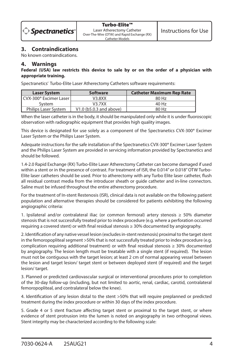

Laser Atherectomy Catheter Over-The-Wire (OTW) and Rapid Exchange (RX) Catheter Models

## **3. Contraindications**

No known contraindications.

### **4. Warnings**

**Federal (USA) law restricts this device to sale by or on the order of a physician with appropriate training.**

Spectranetics' Turbo-Elite Laser Atherectomy Catheters software requirements:

| <b>Laser System</b>                    | <b>Software</b>         | <b>Catheter Maximum Rep Rate</b> |
|----------------------------------------|-------------------------|----------------------------------|
| I CVX-300 <sup>®</sup> Excimer Laser I | V3.8XX                  | 80 Hz                            |
| System                                 | V3.7XX                  | 40 Hz                            |
| Philips Laser System                   | V1.0 (b5.0.3 and above) | 80 Hz                            |

When the laser catheter is in the body, it should be manipulated only while it is under fluoroscopic observation with radiographic equipment that provides high quality images.

This device is designated for use solely as a component of the Spectranetics CVX-300® Excimer Laser System or the Philips Laser System.

Adequate instructions for the safe installation of the Spectranetics CVX-300® Excimer Laser System and the Philips Laser System are provided in servicing information provided by Spectranetics and should be followed.

1.4-2.0 Rapid Exchange (RX) Turbo-Elite Laser Atherectomy Catheter can become damaged if used within a stent or in the presence of contrast. For treatment of ISR, the 0.014" or 0.018" OTW Turbo-Elite laser catheters should be used. Prior to atherectomy with any Turbo Elite laser catheter, flush all residual contrast media from the introducer sheath or guide catheter and in-line connectors. Saline must be infused throughout the entire atherectomy procedure.

For the treatment of In-stent Restenosis (ISR), clinical data is not available on the following patient population and alternative therapies should be considered for patients exhibiting the following angiographic criteria:

1. Ipsilateral and/or contralateral iliac (or common fermoral) artery stenosis ≥ 50% diameter stenosis that is not successfully treated prior to index procedure (e.g. where a perforation occurred requiring a covered stent) or with final residual stenosis ≥ 30% documented by angiography.

2. Identification of any native vessel lesion (excludes in-stent restenosis) proximal to the target stent in the femoropopliteal segment >50% that is not successfully treated prior to index procedure (e.g. complication requiring additional treatment) or with final residual stenosis ≥ 30% documented by angiography. The lesion length must be treatable with a single stent (if required). The lesion must not be contiguous with the target lesion; at least 2 cm of normal appearing vessel between the lesion and target lesion/ target stent or between deployed stent (if required) and the target lesion/ target.

3. Planned or predicted cardiovascular surgical or interventional procedures prior to completion of the 30-day follow-up (including, but not limited to aortic, renal, cardiac, carotid, contralateral femoropopliteal, and contralateral below the knee).

4. Identification of any lesion distal to the stent >50% that will require preplanned or predicted treatment during the index procedure or within 30 days of the index procedure.

5. Grade 4 or 5 stent fracture affecting target stent or proximal to the target stent, or where evidence of stent protrusion into the lumen is noted on angiography in two orthogonal views. Stent integrity may be characterized according to the following scale: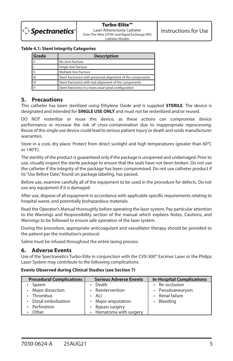#### **Table 4.1: Stent Integrity Categories**

| Grade | <b>Description</b>                                           |
|-------|--------------------------------------------------------------|
|       | No strut fracture                                            |
|       | Single tine fracture                                         |
|       | Multiple tine fracture                                       |
|       | Stent fracture(s) with preserved alignment of the components |
| 1V    | Stent fracture(s) with mal-alignment of the components       |
|       | Stent fracture(s) in a trans-axial spiral configuration      |

## **5. Precautions**

This catheter has been sterilized using Ethylene Oxide and is supplied **STERILE**. The device is designated and intended for **SINGLE USE ONLY** and must not be resterilized and/or reused.

DO NOT resterilize or reuse this device, as these actions can compromise device performance or increase the risk of cross-contamination due to inappropriate reprocessing. Reuse of this single use device could lead to serious patient injury or death and voids manufacturer warranties.

Store in a cool, dry place. Protect from direct sunlight and high temperatures (greater than 60°C or 140°F).

The sterility of the product is guaranteed only if the package is unopened and undamaged. Prior to use, visually inspect the sterile package to ensure that the seals have not been broken. Do not use the catheter if the integrity of the package has been compromised. Do not use catheter product if its "Use Before Date," found on package labeling, has passed.

Before use, examine carefully all of the equipment to be used in the procedure for defects. Do not use any equipment if it is damaged.

After use, dispose of all equipment in accordance with applicable specific requirements relating to hospital waste, and potentially biohazardous materials.

Read the Operator's Manual thoroughly before operating the laser system. Pay particular attention to the Warnings and Responsibility section of the manual which explains Notes, Cautions, and Warnings to be followed to ensure safe operation of the laser system.

During the procedure, appropriate anticoagulant and vasodilator therapy should be provided to the patient per the institution's protocol.

Saline must be infused throughout the entire lasing process.

## **6. Adverse Events**

Use of the Spectranetics Turbo-Elite in conjunction with the CVX-300® Excimer Laser or the Philips Laser System may contribute to the following complications:

| <b>Procedural Complications</b> | <b>Serious Adverse Events</b> | <b>In-Hospital Complications</b> |
|---------------------------------|-------------------------------|----------------------------------|
| Spasm                           | Death                         | Re-occlusion                     |
| Major dissection                | Reintervention                | • Pseudoaneurysm                 |
| Thrombus                        | ALI<br>$\bullet$              | • Renal failure                  |
| Distal embolization             | • Major amputation            | Bleeding                         |
| Perforation                     | Bypass surgery                |                                  |
| Other                           | • Hematoma with surgery       |                                  |

#### **Events Observed during Clinical Studies (see Section 7)**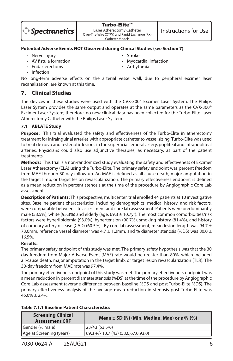

Turbo-Elite™ Laser Atherectomy Catheter

Over-The-Wire (OTW) and Rapid Exchange (RX) Catheter Models

#### **Potential Adverse Events NOT Observed during Clinical Studies (see Section 7)**

- Nerve injury  **Stroke**
- 
- Endarterectomy  **Arrhythmia**
- 
- AV fistula formation **•** Myocardial infarction
	-

• Infection

No long-term adverse effects on the arterial vessel wall, due to peripheral excimer laser recanalization, are known at this time.

## **7. Clinical Studies**

The devices in these studies were used with the CVX-300® Excimer Laser System. The Philips Laser System provides the same output and operates at the same parameters as the CVX-300<sup>®</sup> Excimer Laser System; therefore, no new clinical data has been collected for the Turbo-Elite Laser Atherectomy Catheter with the Philips Laser System.

#### **7.1 ABLATE Study**

**Purpose:** This trial evaluated the safety and effectiveness of the Turbo-Elite in atherectomy treatment for infrainguinal arteries with appropriate catheter to vessel sizing. Turbo-Elite was used to treat de novo and restenotic lesions in the superficial femoral artery, popliteal and infrapopliteal arteries. Physicians could also use adjunctive therapies, as necessary, as part of the patient treatments.

**Methods:** This trial is a non-randomized study evaluating the safety and effectiveness of Excimer Laser Atherectomy (ELA) using the Turbo-Elite. The primary safety endpoint was percent freedom from MAE through 30 day follow-up. An MAE is defined as all cause death, major amputation in the target limb, or target lesion revascularization. The primary effectiveness endpoint is defined as a mean reduction in percent stenosis at the time of the procedure by Angiographic Core Lab assessment.

**Description of Patients:** This prospective, multicenter, trial enrolled 44 patients at 10 investigative sites. Baseline patient characteristics, including demographics, medical history, and risk factors, were comparable between site assessment and core lab assessment. Patients were predominantly male (53.5%), white (95.3%) and elderly (age: 69.3  $\pm$  10.7yr). The most common comorbidities/risk factors were hyperlipidemia (93.0%), hypertension (90.7%), smoking history (81.4%), and history of coronary artery disease (CAD) (60.5%). By core lab assessment, mean lesion length was 94.7  $\pm$ 73.0mm, reference vessel diameter was 4.7  $\pm$  1.2mm, and % diameter stenosis (%DS) was 80.0  $\pm$ 16.5%.

#### **Results:**

The primary safety endpoint of this study was met. The primary safety hypothesis was that the 30 day freedom from Major Adverse Event (MAE) rate would be greater than 80%, which included all-cause death, major amputation in the target limb, or target lesion revascularization (TLR). The 30-day freedom from MAE rate was 97.4%.

The primary effectiveness endpoint of this study was met. The primary effectiveness endpoint was a mean reduction in percent diameter stenosis (%DS) at the time of the procedure by Angiographic Core Lab assessment (average difference between baseline %DS and post Turbo-Elite %DS). The primary effectiveness analysis of the average mean reduction in stenosis post Turbo-Elite was  $45.0\% \pm 2.4\%$ .

| <b>Screening Clinical</b><br><b>Assessment CRF</b> | Mean $\pm$ SD (N) (Min, Median, Max) or n/N (%) |
|----------------------------------------------------|-------------------------------------------------|
| Gender (% male)                                    | 23/43 (53.5%)                                   |
| Age at Screening (years)                           | (69.3 +/- 10.7 (43) (53.0,67.0,93.0)            |

## **Table 7.1.1 Baseline Patient Characteristics**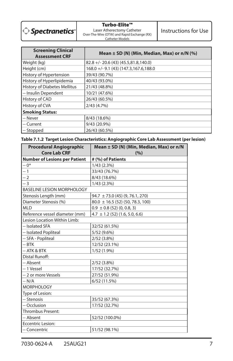Laser Atherectomy Catheter Over-The-Wire (OTW) and Rapid Exchange (RX) Catheter Models

| <b>Screening Clinical</b><br><b>Assessment CRF</b> | Mean $\pm$ SD (N) (Min, Median, Max) or n/N (%) |
|----------------------------------------------------|-------------------------------------------------|
| Weight (kg)                                        | $82.8 + (-20.6(43)(45.5,81.8,140.0))$           |
| Height (cm)                                        | 168.0 +/- 9.1 (43) (147.3,167.6,188.0           |
| History of Hypertension                            | 39/43 (90.7%)                                   |
| History of Hyperlipidemia                          | 40/43 (93.0%)                                   |
| <b>History of Diabetes Mellitus</b>                | 21/43 (48.8%)                                   |
| -- Insulin Dependent                               | 10/21 (47.6%)                                   |
| <b>History of CAD</b>                              | 26/43 (60.5%)                                   |
| History of CVA                                     | 2/43(4.7%)                                      |
| <b>Smoking Status:</b>                             |                                                 |
| -- Never                                           | 8/43 (18.6%)                                    |
| -- Current                                         | 9/43 (20.9%)                                    |
| -- Stopped                                         | 26/43 (60.5%)                                   |

## **Table 7.1.2 Target Lesion Characteristics: Angiographic Core Lab Assessment (per lesion)**

| <b>Procedural Angiographic</b>       | Mean $\pm$ SD (N) (Min, Median, Max) or n/N |
|--------------------------------------|---------------------------------------------|
| <b>Core Lab CRF</b>                  | (%)                                         |
| <b>Number of Lesions per Patient</b> | # (%) of Patients                           |
| $-0$ *                               | $1/43$ (2.3%)                               |
| $-1$                                 | 33/43 (76.7%)                               |
| $-2$                                 | 8/43 (18.6%)                                |
| $-3$                                 | $1/43$ (2.3%)                               |
| <b>BASELINE LESION MORPHOLOGY</b>    |                                             |
| Stenosis Length (mm)                 | $94.7 \pm 73.0$ (45) (9, 76.1, 270)         |
| Diameter Stenosis (%)                | $80.0 \pm 16.5$ (52) (50, 78.3, 100)        |
| <b>MLD</b>                           | $0.9 \pm 0.8$ (52) (0, 0.8, 3)              |
| Reference vessel diameter (mm)       | $4.7 \pm 1.2$ (52) (1.6, 5.0, 6.6)          |
| Lesion Location Within Limb:         |                                             |
| -- Isolated SFA                      | 32/52 (61.5%)                               |
| -- Isolated Popliteal                | 5/52 (9.6%)                                 |
| -- SFA - Popliteal                   | 2/52(3.8%)                                  |
| $-$ BTK                              | 12/52 (23.1%)                               |
| $-$ ATK $&$ BTK                      | 1/52 (1.9%)                                 |
| <b>Distal Runoff:</b>                |                                             |
| -- Absent                            | 2/52(3.8%)                                  |
| -- 1 Vessel                          | 17/52 (32.7%)                               |
| -- 2 or more Vessels                 | 27/52 (51.9%)                               |
| $-N/A$                               | 6/52 (11.5%)                                |
| <b>MORPHOLOGY</b>                    |                                             |
| Type of Lesion:                      |                                             |
| -- Stenosis                          | 35/52 (67.3%)                               |
| -- Occlusion                         | 17/52 (32.7%)                               |
| Thrombus Present:                    |                                             |
| -- Absent                            | 52/52 (100.0%)                              |
| <b>Eccentric Lesion:</b>             |                                             |
| -- Concentric                        | 51/52 (98.1%)                               |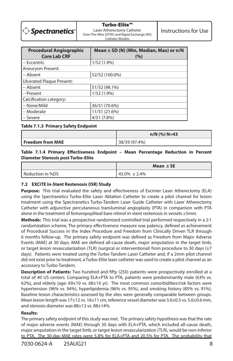|                               | Turbo-Elite™                                                              |                        |
|-------------------------------|---------------------------------------------------------------------------|------------------------|
| $ \bigcirc$ Spectranetics $ $ | Laser Atherectomy Catheter<br>Over-The-Wire (OTW) and Rapid Exchange (RX) | L Instructions for Use |
|                               | Catheter Models                                                           |                        |

| <b>Procedural Angiographic</b><br><b>Core Lab CRF</b> | Mean $\pm$ SD (N) (Min, Median, Max) or n/N<br>(%) |
|-------------------------------------------------------|----------------------------------------------------|
| l -- Eccentric                                        | $1/52(1.9\%)$                                      |
| Aneurysm Present:                                     |                                                    |
| l-- Absent                                            | 52/52 (100.0%)                                     |
| Ulcerated Plaque Present:                             |                                                    |
| l-- Absent                                            | 51/52 (98.1%)                                      |
| I -- Present                                          | $1/52(1.9\%)$                                      |
| Calcification category:                               |                                                    |
| l -- None/Mild                                        | 36/51 (70.6%)                                      |
| l -- Moderate                                         | 11/51 (21.6%)                                      |
| l -- Severe                                           | 4/51 (7.8%)                                        |

#### **Table 7.1.3 Primary Safety Endpoint**

|                    | $n/N$ (%) N=43 |  |
|--------------------|----------------|--|
| l Freedom from MAE | 38/39 (97.4%)  |  |

#### **Table 7.1.4 Primary Effectiveness Endpoint – Mean Percentage Reduction in Percent Diameter Stenosis post Turbo-Elite**

|                  | Mean $\pm$ SE   |
|------------------|-----------------|
| Reduction in %DS | 45.0%<br>± 2.4% |

#### **7.2 EXCiTE In-Stent Restenosis (ISR) Study**

**Purpose:** This trial evaluated the safety and effectiveness of Excimer Laser Atherectomy (ELA) using the Spectranetics Turbo-Elite Laser Ablation Catheter to create a pilot channel for lesion treatment using the Spectranetics Turbo-Tandem Laser Guide Catheter with Laser Atherectomy Catheter with adjunctive percutaneous transluminal angioplasty (PTA) in comparison with PTA alone in the treatment of femoropopliteal bare nitinol in-stent restenosis in vessels ≥5mm.

**Methods:** This trial was a prospective randomized controlled trial performed respectively in a 2:1 randomization scheme, The primary effectiveness measure was patency, defined as achievement of Procedural Success in the Index Procedure and Freedom from Clinically Driven TLR through 6 months follow-up. The primary safety endpoint was defined as Freedom from Major Adverse Events (MAE) at 30 days. MAE are defined all-cause death, major amputation in the target limb, or target lesion revascularization (TLR) (surgical or interventional) from procedure to 30 days (±7 days). Patients were treated using the Turbo-Tandem Laser Catheter and, if a 2mm pilot channel did not exist prior to treatment, a Turbo-Elite laser catheter was used to create a pilot channel as an accessory to Turbo-Tandem.

**Description of Patients:** Two hundred and fifty (250) patients were prospectively enrolled at a total of 40 US centers. Comparing ELA+PTA to PTA, patients were predominantly male (63% vs. 62%), and elderly (age: 69±10 vs. 68±10 yr). The most common comorbidities/risk factors were hypertension (96% vs. 94%), hyperlipidemia (96% vs. 95%), and smoking history (85% vs. 91%). Baseline lesion characteristics assessed by the sites were generally comparable between groups. Mean lesion length was 17±12 vs. 16±11 cm, reference vessel diameter was 5.6±0.5 vs. 5.6±0.6 mm, and stenosis diameter was 88±13 vs. 88±14%.

#### **Results:**

The primary safety endpoint of this study was met. The primary safety hypothesis was that the rate of major adverse events (MAE) through 30 days with ELA+PTA, which included all-cause death, major amputation in the target limb, or target lesion revascularization (TLR), would be non-inferior to PTA. The 30-day MAE rates were 5.8% for ELA+PTA and 20.5% for PTA. The probability that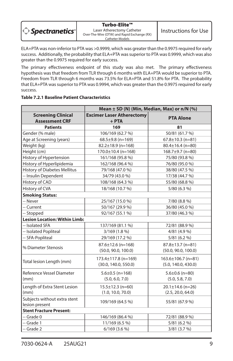|                                   | Turbo-Elite™                                                                                 |                      |
|-----------------------------------|----------------------------------------------------------------------------------------------|----------------------|
| $\bigcirc$ Spectranetics $\big\ $ | Laser Atherectomy Catheter<br>Over-The-Wire (OTW) and Rapid Exchange (RX)<br>Catheter Models | Instructions for Use |

ELA+PTA was non-inferior to PTA was >0.9999, which was greater than the 0.9975 required for early success. Additionally, the probability that ELA+PTA was superior to PTA was 0.9999, which was also greater than the 0.9975 required for early success.

The primary effectiveness endpoint of this study was also met. The primary effectiveness hypothesis was that freedom from TLR through 6 months with ELA+PTA would be superior to PTA. Freedom from TLR through 6 months was 73.5% for ELA+PTA and 51.8% for PTA. The probability that ELA+PTA was superior to PTA was 0.9994, which was greater than the 0.9975 required for early success.

|  | Table 7.2.1 Baseline Patient Characteristics |  |
|--|----------------------------------------------|--|
|  |                                              |  |

|                                                    | Mean $\pm$ SD (N) (Min, Median, Max) or n/N (%)   |                                                 |  |
|----------------------------------------------------|---------------------------------------------------|-------------------------------------------------|--|
| <b>Screening Clinical</b><br><b>Assessment CRF</b> | <b>Excimer Laser Atherectomy</b><br>$+$ PTA       | <b>PTA Alone</b>                                |  |
| <b>Patients</b>                                    | 169                                               | 81                                              |  |
| Gender (% male)                                    | 106/169 (62.7%)                                   | 50/81 (61.7 %)                                  |  |
| Age at Screening (years)                           | 68.5±9.8 (n=169)                                  | $67.8 \pm 10.3$ (n=81)                          |  |
| Weight (kg)                                        | $82.2 \pm 18.9$ (n=168)                           | $80.4 \pm 16.4$ (n=80)                          |  |
| Height (cm)                                        | $170.0 \pm 10.4$ (n=168)                          | $168.7 \pm 9.7$ (n=80)                          |  |
| History of Hypertension                            | 161/168 (95.8%)                                   | 75/80 (93.8 %)                                  |  |
| History of Hyperlipidemia                          | 162/168 (96.4 %)                                  | 76/80 (95.0 %)                                  |  |
| <b>History of Diabetes Mellitus</b>                | 79/168 (47.0 %)                                   | 38/80 (47.5 %)                                  |  |
| -- Insulin Dependent                               | 34/79 (43.0 %)                                    | 17/38 (44.7 %)                                  |  |
| History of CAD                                     | 108/168 (64.3 %)                                  | 55/80 (68.8 %)                                  |  |
| History of CVA                                     | 18/168 (10.7 %)                                   | 5/80(6.3%)                                      |  |
| <b>Smoking Status:</b>                             |                                                   |                                                 |  |
| -- Never                                           | 25/167 (15.0 %)                                   | 7/80 (8.8 %)                                    |  |
| -- Current                                         | 50/167 (29.9 %)                                   | 36/80 (45.0 %)                                  |  |
| -- Stopped                                         | 92/167 (55.1 %)                                   | 37/80 (46.3 %)                                  |  |
| <b>Lesion Location: Within Limb:</b>               |                                                   |                                                 |  |
| -- Isolated SFA                                    | 137/169 (81.1 %)                                  | 72/81 (88.9 %)                                  |  |
| -- Isolated Popliteal                              | 3/169(1.8%)                                       | 4/81 (4.9 %)                                    |  |
| -- SFA-Popliteal                                   | 29/169 (17.2 %)                                   | 5/81(6.2%)                                      |  |
| % Diameter Stenosis                                | $87.6 \pm 12.6$ (n=168)<br>(50.0, 90.0, 100.0)    | $87.8 \pm 13.7$ (n=81)<br>(50.0, 90.0, 100.0)   |  |
| Total lesion Length (mm)                           | $173.4 \pm 117.8$ (n=169)<br>(30.0, 140.0, 550.0) | $163.6 \pm 106.7$ (n=81)<br>(5.0, 140.0, 430.0) |  |
| Reference Vessel Diameter<br>(mm)                  | $5.6 \pm 0.5$ (n=168)<br>(5.0, 6.0, 7.0)          | $5.6 \pm 0.6$ (n=80)<br>(5.0, 5.8, 7.0)         |  |
| Length of Extra Stent Lesion<br>(mm)               | $15.5 \pm 12.3$ (n=60)<br>(1.0, 10.0, 70.0)       | $20.1 \pm 14.6$ (n=26)<br>(2.5, 20.0, 64.0)     |  |
| Subjects without extra stent<br>lesion present     | 109/169 (64.5 %)                                  | 55/81 (67.9 %)                                  |  |
| <b>Stent Fracture Present:</b>                     |                                                   |                                                 |  |
| -- Grade 0                                         | 146/169 (86.4 %)                                  | 72/81 (88.9 %)                                  |  |
| -- Grade 1                                         | 11/169 (6.5 %)                                    | 5/81(6.2%)                                      |  |
| -- Grade 2                                         | $6/169(3.6\%)$                                    | $3/81$ (3.7 %)                                  |  |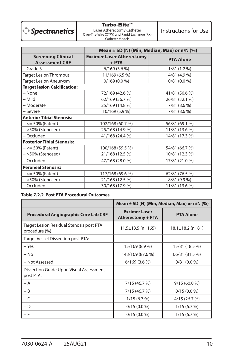| <b>◆ Spectranetics</b> |  |  |  |
|------------------------|--|--|--|
|                        |  |  |  |

Laser Atherectomy Catheter Over-The-Wire (OTW) and Rapid Exchange (RX) Catheter Models

|                                                    | Mean $\pm$ SD (N) (Min, Median, Max) or n/N (%) |                  |  |  |  |
|----------------------------------------------------|-------------------------------------------------|------------------|--|--|--|
| <b>Screening Clinical</b><br><b>Assessment CRF</b> | <b>Excimer Laser Atherectomy</b><br>$+$ PTA     | <b>PTA Alone</b> |  |  |  |
| -- Grade 3                                         | 6/169(3.6%)                                     | $1/81(1.2\%)$    |  |  |  |
| <b>Target Lesion Thrombus</b>                      | 11/169 (6.5 %)                                  | 4/81(4.9%        |  |  |  |
| <b>Target Lesion Aneurysm</b>                      | $0/169(0.0\%)$                                  | $0/81(0.0\%)$    |  |  |  |
| <b>Target lesion Calcification:</b>                |                                                 |                  |  |  |  |
| -- None                                            | 72/169 (42.6 %)                                 | 41/81 (50.6 %)   |  |  |  |
| -- Mild                                            | 62/169 (36.7 %)                                 | 26/81 (32.1 %)   |  |  |  |
| -- Moderate                                        | 25/169 (14.8 %)                                 | $7/81(8.6\%)$    |  |  |  |
| -- Severe                                          | 10/169 (5.9 %)                                  | 7/81(8.6%)       |  |  |  |
| <b>Anterior Tibial Stenosis:</b>                   |                                                 |                  |  |  |  |
| $- < = 50\%$ (Patent)                              | 102/168 (60.7 %)                                | 56/81 (69.1 %)   |  |  |  |
| -- >50% (Stenosed)                                 | 25/168 (14.9 %)                                 | 11/81 (13.6 %)   |  |  |  |
| -- Occluded                                        | 41/168 (24.4 %)                                 | 14/81 (17.3 %)   |  |  |  |
| <b>Posterior Tibial Stenosis:</b>                  |                                                 |                  |  |  |  |
| $- < = 50\%$ (Patent)                              | 100/168 (59.5 %)                                | 54/81 (66.7 %)   |  |  |  |
| -- >50% (Stenosed)                                 | 21/168 (12.5 %)                                 | 10/81 (12.3 %)   |  |  |  |
| -- Occluded                                        | 47/168 (28.0 %)                                 | 17/81 (21.0 %)   |  |  |  |
| <b>Peroneal Stenosis:</b>                          |                                                 |                  |  |  |  |
| $- < = 50\%$ (Patent)                              | 117/168 (69.6 %)                                | 62/81 (76.5 %)   |  |  |  |
| -- >50% (Stenosed)                                 | 21/168 (12.5 %)                                 | 8/81 (9.9 %)     |  |  |  |
| -- Occluded                                        | 30/168 (17.9 %)                                 | 11/81 (13.6 %)   |  |  |  |

#### **Table 7.2.2 Post PTA Procedural Outcomes**

|                                                           | Mean $\pm$ SD (N) (Min, Median, Max) or n/N (%) |                        |  |
|-----------------------------------------------------------|-------------------------------------------------|------------------------|--|
| <b>Procedural Angiographic Core Lab CRF</b>               | <b>Excimer Laser</b><br>Atherectomy + PTA       | <b>PTA Alone</b>       |  |
| Target Lesion Residual Stenosis post PTA<br>procedure (%) | $11.5 \pm 13.5$ (n=165)                         | $18.1 \pm 18.2$ (n=81) |  |
| Target Vessel Dissection post PTA:                        |                                                 |                        |  |
| -- Yes                                                    | 15/169 (8.9 %)                                  | 15/81 (18.5 %)         |  |
| -- No                                                     | 148/169 (87.6 %)                                | 66/81 (81.5 %)         |  |
| -- Not Assessed                                           | 6/169(3.6%)                                     | $0/81(0.0\%)$          |  |
| Dissection Grade Upon Visual Assessment<br>post PTA:      |                                                 |                        |  |
| -- A                                                      | 7/15 (46.7 %)                                   | $9/15(60.0\%)$         |  |
| -- B                                                      | 7/15 (46.7 %)                                   | $0/15(0.0\%)$          |  |
| $-c$                                                      | 1/15(6.7%)                                      | 4/15(26.7%)            |  |
| -- D                                                      | $0/15(0.0\%)$                                   | 1/15(6.7%)             |  |
| $-F$                                                      | $0/15(0.0\%)$                                   | 1/15(6.7%)             |  |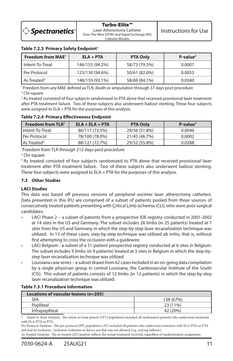|  | Table 7.2.3 Primary Safety Endpoint <sup>1</sup> |  |
|--|--------------------------------------------------|--|

**Spectranetics** 

| <b>Freedom from MAE</b> <sup>1</sup> | $ELA + PTA$     | <b>PTA Only</b> | $P-value2$ |
|--------------------------------------|-----------------|-----------------|------------|
| I Intent-To-Treat                    | 146/155 (94.2%) | 58/73 (79.5%)   | 0.0007     |
| Per Protocol                         | 123/130 (94.6%) | 50/61 (82.0%)   | 0.0053     |
| As Treated <sup>3</sup>              | 148/159 (93.1%) | 58/69 (84.1%)   | 0.0340     |

Catheter Models

1 Freedom from any MAE defined as TLR, death or amputation through 37 days post procedure

2 Chi-square

3 As treated consisted of four subjects randomized to PTA alone that received provisional laser treatment after PTA treatment failure. Two of these subjects also underwent bailout stenting. These four subjects were assigned to  $ELA + PTA$  for the purposes of this analysis.

| Freedom from $TLR^1$    | $ELA + ELA + PTA$ | <b>PTA Only</b> | $P-value2$ |
|-------------------------|-------------------|-----------------|------------|
| Hntent-To-Treat         | 86/117 (73.5%)    | 29/56 (51.8%)   | 0.0046     |
| Per Protocol            | 78/100 (78.0%)    | 21/45 (46.7%)   | 0.0002     |
| As Treated <sup>3</sup> | 88/121 (72.7%)    | 29/52 (55.8%)   | 0.0288     |

#### **Table 7.2.4 Primary Effectiveness Endpoint**

1 Freedom from TLR through 212 days post procedure

<sup>2</sup> Chi-square

<sup>3</sup> As treated consisted of four subjects randomized to PTA alone that received provisional laser treatment after PTA treatment failure. Two of these subjects also underwent bailout stenting. These four subjects were assigned to ELA + PTA for the purposes of this analysis.

#### **7.3 Other Studies**

#### **LACI Studies**

This data was based off previous versions of peripheral excimer laser atherectomy catheters. Data presented in this IFU are comprised of a subset of patients pooled from three sources of consecutively treated patients presenting with Critical Limb Ischemia (CLI), who were poor surgical candidates:

- LACI Phase 2 a subset of patients from a prospective IDE registry conducted in 2001-2002 at 14 sites in the US and Germany. The subset includes 26 limbs (in 25 patients) treated at 7 sites from the US and Germany in which the step-by-step laser recanalization technique was utilized. In 13 of these cases, step-by-step technique was utilized ab initio, that is, without first attempting to cross the occlusion with a guidewire.
- LACI Belgium a subset of a 51-patient prospective registry conducted at 6 sites in Belgium. The subset includes 9 limbs (in 9 patients) treated at 3 sites in Belgium in which the step-bystep laser recanalization technique was utilized.
- Louisiana case series a subset drawn from 62 cases included in an on-going data compilation by a single physician group in central Louisiana, the Cardiovascular Institute of the South (CIS). This subset of patients consists of 12 limbs (in 12 patients) in which the step-by-step laser recanalization technique was utilized.

| iable 7.3.1 Frocedure imormation      |            |
|---------------------------------------|------------|
| Locations of vascular lesions (n=205) |            |
| <b>SFA</b>                            | 138 (67%)  |
| Popliteal                             | $23(11\%)$ |
| Infrapopliteal                        | 42 (20%)   |

## **Table 7.3.1 Procedure Information**

1 Intent to Treat Analysis: The intent-to-treat patient (ITT) population included all randomized patients who underwent treatment with ELA-PTA or PTA.

Per Protocol Analysis: The per-protocol (PP) population (AT) included all patients who underwent treatment with ELA-PTA or PTA and had no inclusion / exclusion violations or device use that was not allowed (e.g. scoring balloon).

As Treated Analysis: The as treated (AT) analysis reflects the actual treatment received, regardless of randomization assignment.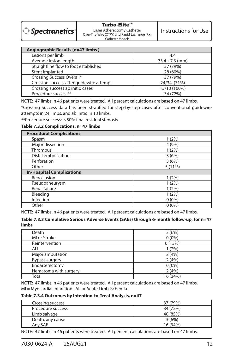| $\hat{\hspace{1ex}\mathbb{O}}$ Spectranetics |  |  |  |  |  |  |
|----------------------------------------------|--|--|--|--|--|--|
|----------------------------------------------|--|--|--|--|--|--|

Laser Atherectomy Catheter Over-The-Wire (OTW) and Rapid Exchange (RX) Catheter Models

| Angiographic Results (n=47 limbs)        |                     |
|------------------------------------------|---------------------|
| Lesions per limb                         | 4.4                 |
| Average lesion length                    | $73.4 \pm 7.3$ (mm) |
| Straightline flow to foot established    | 37 (79%)            |
| Stent implanted                          | 28 (60%)            |
| Crossing Success Overall*                | 37 (79%)            |
| Crossing success after guidewire attempt | 24/34 (71%)         |
| Crossing success ab initio cases         | 13/13 (100%)        |
| Procedure success**                      | 34 (72%)            |

NOTE: 47 limbs in 46 patients were treated. All percent calculations are based on 47 limbs.

\*Crossing Success data has been stratified for step-by-step cases after conventional guidewire attempts in 24 limbs, and ab initio in 13 limbs.

\*\*Procedure success: ≤50% final residual stenosis

#### **Table 7.3.2 Complications, n=47 limbs**

| <b>Procedural Complications</b>  |           |
|----------------------------------|-----------|
| Spasm                            | $1(2\%)$  |
| Major dissection                 | 4(9%)     |
| Thrombus                         | 1(2%)     |
| Distal embolization              | 3(6%)     |
| Perforation                      | 3(6%)     |
| Other                            | $5(11\%)$ |
| <b>In-Hospital Complications</b> |           |
| Reocclusion                      | $1(2\%)$  |
| Pseudoaneurysm                   | 1(2%)     |
| Renal failure                    | $1(2\%)$  |
| Bleeding                         | $1(2\%)$  |
| Infection                        | $0(0\%)$  |
| Other                            | $0(0\%)$  |

NOTE: 47 limbs in 46 patients were treated. All percent calculations are based on 47 limbs.

#### **Table 7.3.3 Cumulative Serious Adverse Events (SAEs) through 6-month follow-up, for n=47 limbs**

| Death                 | 3(6%)    |
|-----------------------|----------|
| MI or Stroke          | $0(0\%)$ |
| Reintervention        | 6(13%)   |
| ALI                   | $1(2\%)$ |
| Major amputation      | 2(4%)    |
| Bypass surgery        | 2(4%)    |
| Endarterectomy        | $0(0\%)$ |
| Hematoma with surgery | 2(4%)    |
| Total                 | 16 (34%) |

NOTE: 47 limbs in 46 patients were treated. All percent calculations are based on 47 limbs.  $MI = Myocardial Infarction. ALI = Acute Limb Ischemia.$ 

#### **Table 7.3.4 Outcomes by Intention-to-Treat Analysis, n=47**

| Crossing success  | 37 (79%) |
|-------------------|----------|
| Procedure success | 34 (72%) |
| Limb salvage      | 40 (85%) |
| Death, any cause  | 3(6%)    |
| Anv SAE           | 16 (34%) |

NOTE: 47 limbs in 46 patients were treated. All percent calculations are based on 47 limbs.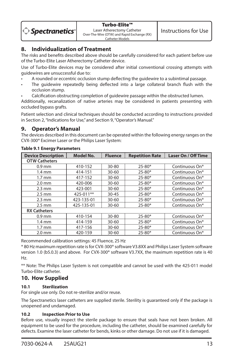

Laser Atherectomy Catheter Over-The-Wire (OTW) and Rapid Exchange (RX) Catheter Models

## **8. Individualization of Treatment**

The risks and benefits described above should be carefully considered for each patient before use of the Turbo-Elite Laser Atherectomy Catheter device.

Use of Turbo-Elite devices may be considered after initial conventional crossing attempts with guidewires are unsuccessful due to:

- A rounded or eccentric occlusion stump deflecting the guidewire to a subintimal passage.
- The quidewire repeatedly being deflected into a large collateral branch flush with the occlusion stump.
- Calcification obstructing completion of guidewire passage within the obstructed lumen.

Additionally, recanalization of native arteries may be considered in patients presenting with occluded bypass grafts.

Patient selection and clinical techniques should be conducted according to instructions provided in Section 2, "Indications for Use," and Section 9, "Operator's Manual."

## **9. Operator's Manual**

The devices described in this document can be operated within the following energy ranges on the CVX-300® Excimer Laser or the Philips Laser System:

| <b>Device Description</b> | <b>Model No.</b> | <b>Fluence</b> | <b>Repetition Rate</b> | <b>Laser On / Off Time</b> |
|---------------------------|------------------|----------------|------------------------|----------------------------|
| <b>OTW Catheters</b>      |                  |                |                        |                            |
| $0.9$ mm                  | 410-152          | 30-80          | $25 - 80*$             | Continuous On*             |
| $1.4 \text{ mm}$          | 414-151          | $30 - 60$      | $25 - 80*$             | Continuous On*             |
| $1.7 \text{ mm}$          | 417-152          | $30 - 60$      | $25 - 80*$             | Continuous On*             |
| $2.0$ mm                  | 420-006          | $30 - 60$      | $25 - 80*$             | Continuous On*             |
| $2.3 \text{ mm}$          | 423-001          | $30 - 60$      | $25 - 80*$             | Continuous On*             |
| $2.5 \text{ mm}$          | 425-011**        | $30 - 45$      | $25 - 80*$             | Continuous On*             |
| $2.3 \text{ mm}$          | 423-135-01       | $30 - 60$      | $25 - 80*$             | Continuous On*             |
| $2.5 \text{ mm}$          | 425-135-01       | $30 - 60$      | $25 - 80*$             | Continuous On*             |
| <b>RX Catheters</b>       |                  |                |                        |                            |
| $0.9$ mm                  | 410-154          | 30-80          | $25 - 80*$             | Continuous On*             |
| $1.4 \text{ mm}$          | 414-159          | $30 - 60$      | $25 - 80*$             | Continuous On*             |
| $1.7 \text{ mm}$          | 417-156          | $30 - 60$      | $25 - 80*$             | Continuous On*             |
| $2.0$ mm                  | 420-159          | $30 - 60$      | $25 - 80*$             | Continuous On*             |

#### **Table 9.1 Energy Parameters**

Recommended calibration settings: 45 Fluence, 25 Hz

\* 80 Hz maximum repetition rate is for CVX-300® software V3.8XX and Philips Laser System software version 1.0 (b5.0.3) and above. For CVX-300® software V3.7XX, the maximum repetition rate is 40 Hz.

\*\* Note: The Philips Laser System is not compatible and cannot be used with the 425-011 model Turbo-Elite catheter.

## **10. How Supplied**

#### **10.1 Sterilization**

For single use only. Do not re-sterilize and/or reuse.

The Spectranetics laser catheters are supplied sterile. Sterility is guaranteed only if the package is unopened and undamaged.

#### **10.2 Inspection Prior to Use**

Before use, visually inspect the sterile package to ensure that seals have not been broken. All equipment to be used for the procedure, including the catheter, should be examined carefully for defects. Examine the laser catheter for bends, kinks or other damage. Do not use if it is damaged.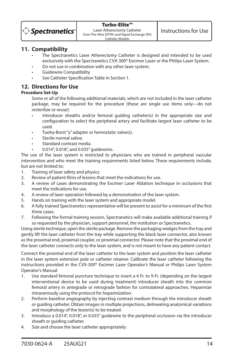

Catheter Models

## **11. Compatibility**

- The Spectranetics Laser Atherectomy Catheter is designed and intended to be used exclusively with the Spectranetics CVX-300® Excimer Laser or the Philips Laser System.
- Do not use in combination with any other laser system.
- Guidewire Compatibility
- See Catheter Specification Table in Section 1.

## **12. Directions for Use**

#### **Procedure Set-Up**

Some or all of the following additional materials, which are not included in the laser catheter package, may be required for the procedure (these are single use items only—do not resterilize or reuse):

- Introducer sheaths and/or femoral guiding catheter(s) in the appropriate size and configuration to select the peripheral artery and facilitate largest laser catheter to be used.
- Tuohy-Borst "y" adapter or hemostatic valve(s).
- Sterile normal saline.
- Standard contrast media.
	- 0.014", 0.018", and 0.035" guidewires.

The use of the laser system is restricted to physicians who are trained in peripheral vascular intervention and who meet the training requirements listed below. These requirements include, but are not limited to:

- 1. Training of laser safety and physics.
- 2. Review of patient films of lesions that meet the indications for use.
- 3. A review of cases demonstrating the Excimer Laser Ablation technique in occlusions that meet the indications for use.
- 4. A review of laser operation followed by a demonstration of the laser system.
- 5. Hands on training with the laser system and appropriate model.
- 6. A fully trained Spectranetics representative will be present to assist for a minimum of the first three cases.
- 7. Following the formal training session, Spectranetics will make available additional training if so requested by the physician, support personnel, the institution or Spectranetics.

Using sterile technique, open the sterile package. Remove the packaging wedges from the tray and gently lift the laser catheter from the tray while supporting the black laser connector, also known as the proximal end, proximal coupler, or proximal connector. Please note that the proximal end of the laser catheter connects only to the laser system, and is not meant to have any patient contact.

Connect the proximal end of the laser catheter to the laser system and position the laser catheter in the laser system extension pole or catheter retainer. Calibrate the laser catheter following the instructions provided in the CVX-300® Excimer Laser Operator's Manual or Philips Laser System Operator's Manual.

- 1. Use standard femoral puncture technique to insert a 4 Fr. to 9 Fr. (depending on the largest interventional device to be used during treatment) introducer sheath into the common femoral artery in antegrade or retrograde fashion for contralateral approaches. Heparinize intravenously using the protocol for heparinization.
- 2. Perform baseline angiography by injecting contrast medium through the introducer sheath or guiding catheter. Obtain images in multiple projections, delineating anatomical variations and morphology of the lesion(s) to be treated.
- 3. Introduce a 0.014", 0.018", or 0.035" guidewire to the peripheral occlusion via the introducer sheath or guiding catheter.
- 4. Size and choose the laser catheter appropriately: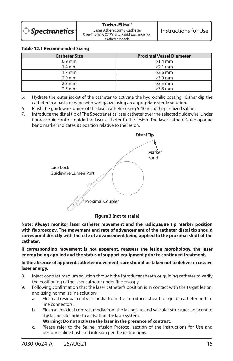| <b>◆Spectranetics</b> |  |
|-----------------------|--|
|-----------------------|--|

Laser Atherectomy Catheter Over-The-Wire (OTW) and Rapid Exchange (RX) Catheter Models

#### **Table 12.1 Recommended Sizing**

| <b>Catheter Size</b> | <b>Proximal Vessel Diameter</b> |
|----------------------|---------------------------------|
| $0.9$ mm             | $\geq$ 1.4 mm                   |
| $1.4 \text{ mm}$     | $\geq$ 2.1 mm                   |
| $1.7 \text{ mm}$     | $\geq$ 2.6 mm                   |
| $2.0$ mm             | $\geq$ 3.0 mm                   |
| $2.3 \text{ mm}$     | $\geq$ 3.5 mm                   |
| $2.5 \text{ mm}$     | $\geq$ 3.8 mm                   |

<sup>5.</sup> Hydrate the outer jacket of the catheter to activate the hydrophilic coating. Either dip the catheter in a basin or wipe with wet gauze using an appropriate sterile solution.

- 6. Flush the guidewire lumen of the laser catheter using 5-10 mL of heparinized saline.
- 7. Introduce the distal tip of The Spectranetics laser catheter over the selected guidewire. Under fluoroscopic control, guide the laser catheter to the lesion. The laser catheter's radiopaque band marker indicates its position relative to the lesion.



**Figure 3 (not to scale)**

**Note: Always monitor laser catheter movement and the radiopaque tip marker position with fluoroscopy. The movement and rate of advancement of the catheter distal tip should correspond directly with the rate of advancement being applied to the proximal shaft of the catheter.**

**If corresponding movement is not apparent, reassess the lesion morphology, the laser energy being applied and the status of support equipment prior to continued treatment.**

#### **In the absence of apparent catheter movement, care should be taken not to deliver excessive laser energy.**

- 8. Inject contrast medium solution through the introducer sheath or guiding catheter to verify the positioning of the laser catheter under fluoroscopy.
- 9. Following confirmation that the laser catheter's position is in contact with the target lesion, and using normal saline solution:
	- a. Flush all residual contrast media from the introducer sheath or guide catheter and inline connectors.
	- b. Flush all residual contrast media from the lasing site and vascular structures adjacent to the lasing site, prior to activating the laser system.

#### **Warning: Do not activate the laser in the presence of contrast.**

c. Please refer to the Saline Infusion Protocol section of the Instructions for Use and perform saline flush and infusion per the instructions.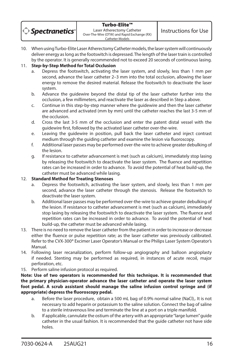Laser Atherectomy Catheter Over-The-Wire (OTW) and Rapid Exchange (RX) Catheter Models

10. When using Turbo-Elite Laser Atherectomy Catheter models, the laser system will continuously deliver energy as long as the footswitch is depressed. The length of the laser train is controlled by the operator. It is generally recommended not to exceed 20 seconds of continuous lasing.

#### 11. **Step-by-Step Method for Total Occlusion**

>Spectranetics\*

- a. Depress the footswitch, activating the laser system, and slowly, less than 1 mm per second, advance the laser catheter 2–3 mm into the total occlusion, allowing the laser energy to remove the desired material. Release the footswitch to deactivate the laser system.
- b. Advance the guidewire beyond the distal tip of the laser catheter further into the occlusion, a few millimeters, and reactivate the laser as described in Step a above.
- c. Continue in this step-by-step manner where the guidewire and then the laser catheter are advanced and activated (mm by mm) until the catheter reaches the last 3-5 mm of the occlusion.
- d. Cross the last 3-5 mm of the occlusion and enter the patent distal vessel with the guidewire first, followed by the activated laser catheter over-the-wire.
- e. Leaving the guidewire in position, pull back the laser catheter and inject contrast medium through the guiding catheter and examine the lesion via fluoroscopy.
- f. Additional laser passes may be performed over-the-wire to achieve greater debulking of the lesion.
- g. If resistance to catheter advancement is met (such as calcium), immediately stop lasing by releasing the footswitch to deactivate the laser system. The fluence and repetition rates can be increased in order to advance. To avoid the potential of heat build-up, the catheter must be advanced while lasing.

#### 12. **Standard Method for Treating Stenoses**

- a. Depress the footswitch, activating the laser system, and slowly, less than 1 mm per second, advance the laser catheter through the stenosis. Release the footswitch to deactivate the laser system.
- b. Additional laser passes may be performed over-the-wire to achieve greater debulking of the lesion. If resistance to catheter advancement is met (such as calcium), immediately stop lasing by releasing the footswitch to deactivate the laser system. The fluence and repetition rates can be increased in order to advance. To avoid the potential of heat build-up, the catheter must be advanced while lasing.
- 13. There is no need to remove the laser catheter from the patient in order to increase or decrease either the fluence or pulse repetition rate; as the laser catheter was previously calibrated. Refer to the CVX-300® Excimer Laser Operator's Manual or the Philips Laser System Operator's Manual.
- 14. Following laser recanalization, perform follow-up angiography and balloon angioplasty if needed. Stenting may be performed as required, in instances of acute recoil, major perforation, etc.
- 15. Perform saline infusion protocol as required.

**Note: Use of two operators is recommended for this technique. It is recommended that the primary physician-operator advance the laser catheter and operate the laser system foot pedal. A scrub assistant should manage the saline infusion control syringe and (if appropriate) depress the fluoroscopy pedal.** 

- a. Before the laser procedure, obtain a 500 mL bag of 0.9% normal saline (NaCl),. It is not necessary to add heparin or potassium to the saline solution. Connect the bag of saline to a sterile intravenous line and terminate the line at a port on a triple manifold.
- b. If applicable, cannulate the ostium of the artery with an appropriate "large lumen" guide catheter in the usual fashion. It is recommended that the guide catheter not have side holes.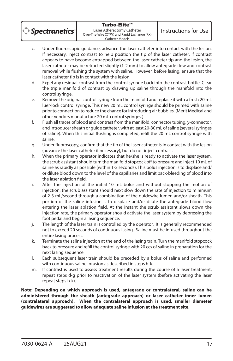| ♦ Spectranetics |  |
|-----------------|--|
|-----------------|--|

- c. Under fluoroscopic guidance, advance the laser catheter into contact with the lesion. If necessary, inject contrast to help position the tip of the laser catheter. If contrast appears to have become entrapped between the laser catheter tip and the lesion, the laser catheter may be retracted slightly (1-2 mm) to allow antegrade flow and contrast removal while flushing the system with saline. However, before lasing, ensure that the laser catheter tip is in contact with the lesion.
- d. Expel any residual contrast from the control syringe back into the contrast bottle. Clear the triple manifold of contrast by drawing up saline through the manifold into the control syringe.
- e. Remove the original control syringe from the manifold and replace it with a fresh 20 mL luer-lock control syringe. This new 20 mL control syringe should be primed with saline prior to connection to reduce the chance for introducing air bubbles. (Merit Medical and other vendors manufacture 20 mL control syringes.)
- f. Flush all traces of blood and contrast from the manifold, connector tubing, y-connector, and introducer sheath or guide catheter, with at least 20-30 mL of saline (several syringes of saline). When this initial flushing is completed, refill the 20 mL control syringe with saline.
- g. Under fluoroscopy, confirm that the tip of the laser catheter is in contact with the lesion (advance the laser catheter if necessary), but do not inject contrast.
- h. When the primary operator indicates that he/she is ready to activate the laser system, the scrub assistant should turn the manifold stopcock off to pressure and inject 10 mL of saline as rapidly as possible (within 1-2 seconds). This bolus injection is to displace and/ or dilute blood down to the level of the capillaries and limit back-bleeding of blood into the laser ablation field.
- i. After the injection of the initial 10 mL bolus and without stopping the motion of injection, the scrub assistant should next slow down the rate of injection to minimum of 2-3 mL/second through a combination of the guidewire lumen and/or sheath. This portion of the saline infusion is to displace and/or dilute the antegrade blood flow entering the laser ablation field. At the instant the scrub assistant slows down the injection rate, the primary operator should activate the laser system by depressing the foot pedal and begin a lasing sequence.
- j. The length of the laser train is controlled by the operator. It is generally recommended not to exceed 20 seconds of continuous lasing. Saline must be infused throughout the entire lasing process.
- k. Terminate the saline injection at the end of the lasing train. Turn the manifold stopcock back to pressure and refill the control syringe with 20 ccs of saline in preparation for the next lasing sequence.
- l. Each subsequent laser train should be preceded by a bolus of saline and performed with continuous saline infusion as described in steps h-k.
- m. If contrast is used to assess treatment results during the course of a laser treatment, repeat steps d-g prior to reactivation of the laser system (before activating the laser repeat steps h-k).

**Note: Depending on which approach is used, antegrade or contralateral, saline can be administered through the sheath (antegrade approach) or laser catheter inner lumen (contralateral approach). When the contralateral approach is used, smaller diameter guidewires are suggested to allow adequate saline infusion at the treatment site.**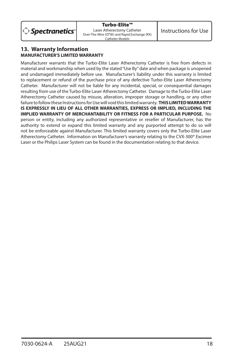

Turbo-Elite™ Laser Atherectomy Catheter Over-The-Wire (OTW) and Rapid Exchange (RX) Catheter Models

#### **13. Warranty Information MANUFACTURER'S LIMITED WARRANTY**

Manufacturer warrants that the Turbo-Elite Laser Atherectomy Catheter is free from defects in material and workmanship when used by the stated "Use By" date and when package is unopened and undamaged immediately before use. Manufacturer's liability under this warranty is limited to replacement or refund of the purchase price of any defective Turbo-Elite Laser Atherectomy Catheter. Manufacturer will not be liable for any incidental, special, or consequential damages resulting from use of the Turbo-Elite Laser Atherectomy Catheter. Damage to the Turbo-Elite Laser Atherectomy Catheter caused by misuse, alteration, improper storage or handling, or any other failure to follow these Instructions for Use will void this limited warranty. **THIS LIMITED WARRANTY IS EXPRESSLY IN LIEU OF ALL OTHER WARRANTIES, EXPRESS OR IMPLIED, INCLUDING THE IMPLIED WARRANTY OF MERCHANTABILITY OR FITNESS FOR A PARTICULAR PURPOSE.** No person or entity, including any authorized representative or reseller of Manufacturer, has the authority to extend or expand this limited warranty and any purported attempt to do so will not be enforceable against Manufacturer. This limited warranty covers only the Turbo-Elite Laser Atherectomy Catheter. Information on Manufacturer's warranty relating to the CVX-300® Excimer Laser or the Philips Laser System can be found in the documentation relating to that device.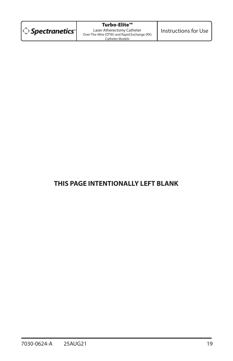| $\hat{\heartsuit}$ Spectranetics <sup>-</sup> |
|-----------------------------------------------|
|-----------------------------------------------|

# **THIS PAGE INTENTIONALLY LEFT BLANK**